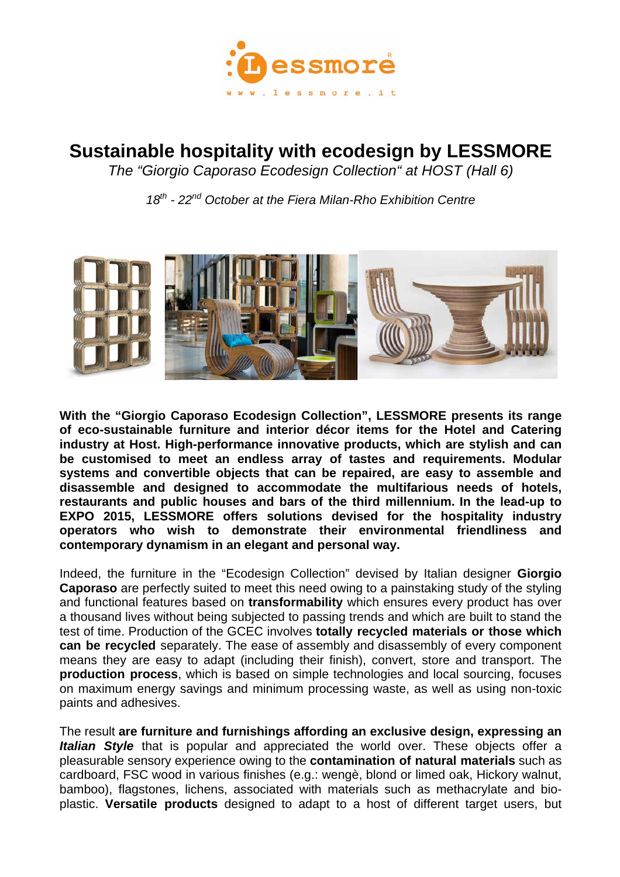

## **Sustainable hospitality with ecodesign by LESSMORE**

*The "Giorgio Caporaso Ecodesign Collection" at HOST (Hall 6)* 

*18th - 22nd October at the Fiera Milan-Rho Exhibition Centre* 



**With the "Giorgio Caporaso Ecodesign Collection", LESSMORE presents its range of eco-sustainable furniture and interior décor items for the Hotel and Catering industry at Host. High-performance innovative products, which are stylish and can be customised to meet an endless array of tastes and requirements. Modular systems and convertible objects that can be repaired, are easy to assemble and disassemble and designed to accommodate the multifarious needs of hotels, restaurants and public houses and bars of the third millennium. In the lead-up to EXPO 2015, LESSMORE offers solutions devised for the hospitality industry operators who wish to demonstrate their environmental friendliness and contemporary dynamism in an elegant and personal way.** 

Indeed, the furniture in the "Ecodesign Collection" devised by Italian designer **Giorgio Caporaso** are perfectly suited to meet this need owing to a painstaking study of the styling and functional features based on **transformability** which ensures every product has over a thousand lives without being subjected to passing trends and which are built to stand the test of time. Production of the GCEC involves **totally recycled materials or those which can be recycled** separately. The ease of assembly and disassembly of every component means they are easy to adapt (including their finish), convert, store and transport. The **production process**, which is based on simple technologies and local sourcing, focuses on maximum energy savings and minimum processing waste, as well as using non-toxic paints and adhesives.

The result **are furniture and furnishings affording an exclusive design, expressing an**  *Italian Style* that is popular and appreciated the world over. These objects offer a pleasurable sensory experience owing to the **contamination of natural materials** such as cardboard, FSC wood in various finishes (e.g.: wengè, blond or limed oak, Hickory walnut, bamboo), flagstones, lichens, associated with materials such as methacrylate and bioplastic. **Versatile products** designed to adapt to a host of different target users, but